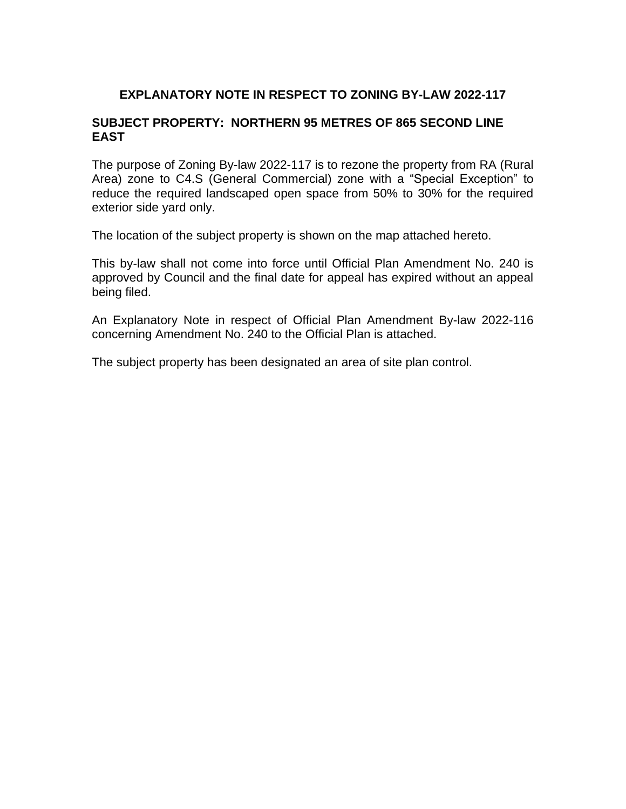# **EXPLANATORY NOTE IN RESPECT TO ZONING BY-LAW 2022-117**

# **SUBJECT PROPERTY: NORTHERN 95 METRES OF 865 SECOND LINE EAST**

The purpose of Zoning By-law 2022-117 is to rezone the property from RA (Rural Area) zone to C4.S (General Commercial) zone with a "Special Exception" to reduce the required landscaped open space from 50% to 30% for the required exterior side yard only.

The location of the subject property is shown on the map attached hereto.

This by-law shall not come into force until Official Plan Amendment No. 240 is approved by Council and the final date for appeal has expired without an appeal being filed.

An Explanatory Note in respect of Official Plan Amendment By-law 2022-116 concerning Amendment No. 240 to the Official Plan is attached.

The subject property has been designated an area of site plan control.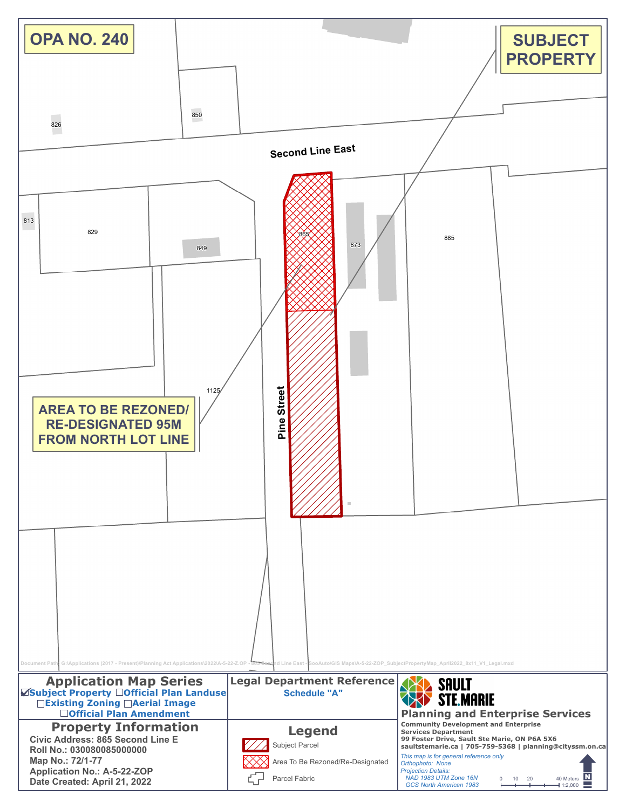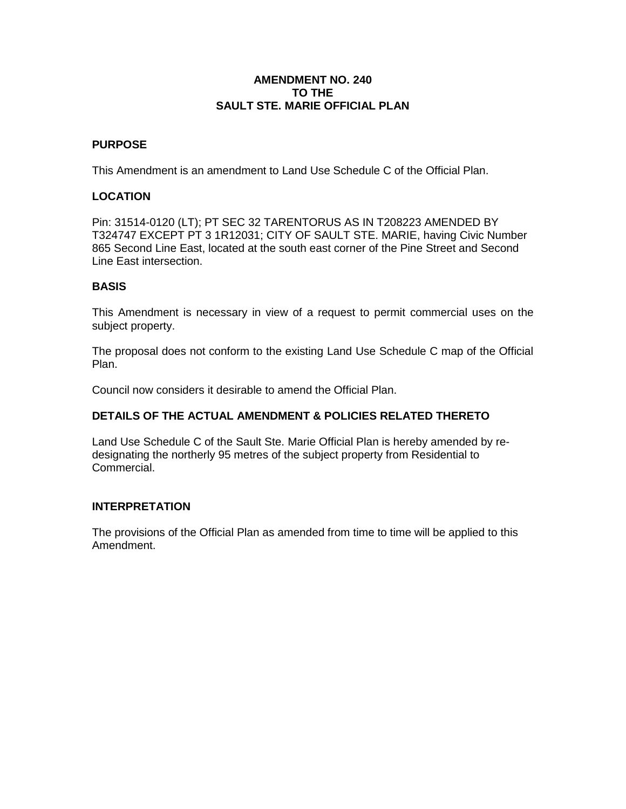### **AMENDMENT NO. 240 TO THE SAULT STE. MARIE OFFICIAL PLAN**

## **PURPOSE**

This Amendment is an amendment to Land Use Schedule C of the Official Plan.

# **LOCATION**

Pin: 31514-0120 (LT); PT SEC 32 TARENTORUS AS IN T208223 AMENDED BY T324747 EXCEPT PT 3 1R12031; CITY OF SAULT STE. MARIE, having Civic Number 865 Second Line East, located at the south east corner of the Pine Street and Second Line East intersection.

#### **BASIS**

This Amendment is necessary in view of a request to permit commercial uses on the subject property.

The proposal does not conform to the existing Land Use Schedule C map of the Official Plan.

Council now considers it desirable to amend the Official Plan.

# **DETAILS OF THE ACTUAL AMENDMENT & POLICIES RELATED THERETO**

Land Use Schedule C of the Sault Ste. Marie Official Plan is hereby amended by redesignating the northerly 95 metres of the subject property from Residential to Commercial.

#### **INTERPRETATION**

The provisions of the Official Plan as amended from time to time will be applied to this Amendment.